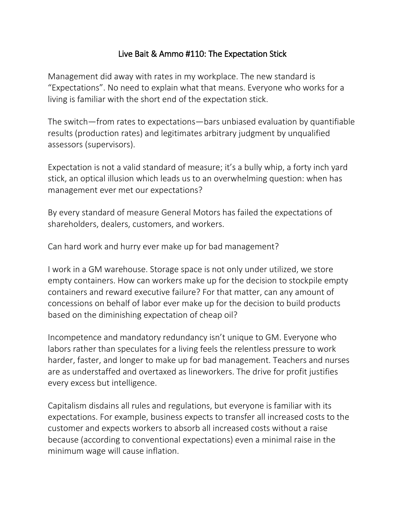## Live Bait & Ammo #110: The Expectation Stick

Management did away with rates in my workplace. The new standard is "Expectations". No need to explain what that means. Everyone who works for a living is familiar with the short end of the expectation stick.

The switch—from rates to expectations—bars unbiased evaluation by quantifiable results (production rates) and legitimates arbitrary judgment by unqualified assessors (supervisors).

Expectation is not a valid standard of measure; it's a bully whip, a forty inch yard stick, an optical illusion which leads us to an overwhelming question: when has management ever met our expectations?

By every standard of measure General Motors has failed the expectations of shareholders, dealers, customers, and workers.

Can hard work and hurry ever make up for bad management?

I work in a GM warehouse. Storage space is not only under utilized, we store empty containers. How can workers make up for the decision to stockpile empty containers and reward executive failure? For that matter, can any amount of concessions on behalf of labor ever make up for the decision to build products based on the diminishing expectation of cheap oil?

Incompetence and mandatory redundancy isn't unique to GM. Everyone who labors rather than speculates for a living feels the relentless pressure to work harder, faster, and longer to make up for bad management. Teachers and nurses are as understaffed and overtaxed as lineworkers. The drive for profit justifies every excess but intelligence.

Capitalism disdains all rules and regulations, but everyone is familiar with its expectations. For example, business expects to transfer all increased costs to the customer and expects workers to absorb all increased costs without a raise because (according to conventional expectations) even a minimal raise in the minimum wage will cause inflation.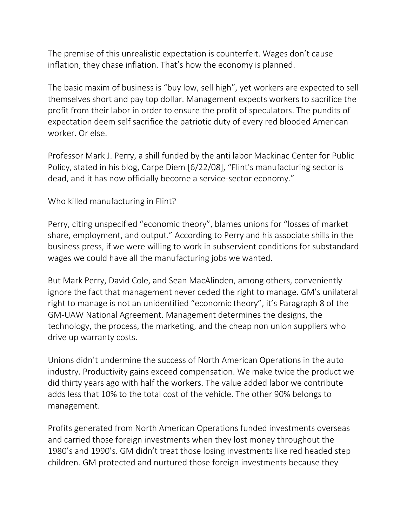The premise of this unrealistic expectation is counterfeit. Wages don't cause inflation, they chase inflation. That's how the economy is planned.

The basic maxim of business is "buy low, sell high", yet workers are expected to sell themselves short and pay top dollar. Management expects workers to sacrifice the profit from their labor in order to ensure the profit of speculators. The pundits of expectation deem self sacrifice the patriotic duty of every red blooded American worker. Or else.

Professor Mark J. Perry, a shill funded by the anti labor Mackinac Center for Public Policy, stated in his blog, Carpe Diem [6/22/08], "Flint's manufacturing sector is dead, and it has now officially become a service-sector economy."

Who killed manufacturing in Flint?

Perry, citing unspecified "economic theory", blames unions for "losses of market share, employment, and output." According to Perry and his associate shills in the business press, if we were willing to work in subservient conditions for substandard wages we could have all the manufacturing jobs we wanted.

But Mark Perry, David Cole, and Sean MacAlinden, among others, conveniently ignore the fact that management never ceded the right to manage. GM's unilateral right to manage is not an unidentified "economic theory", it's Paragraph 8 of the GM-UAW National Agreement. Management determines the designs, the technology, the process, the marketing, and the cheap non union suppliers who drive up warranty costs.

Unions didn't undermine the success of North American Operations in the auto industry. Productivity gains exceed compensation. We make twice the product we did thirty years ago with half the workers. The value added labor we contribute adds less that 10% to the total cost of the vehicle. The other 90% belongs to management.

Profits generated from North American Operations funded investments overseas and carried those foreign investments when they lost money throughout the 1980's and 1990's. GM didn't treat those losing investments like red headed step children. GM protected and nurtured those foreign investments because they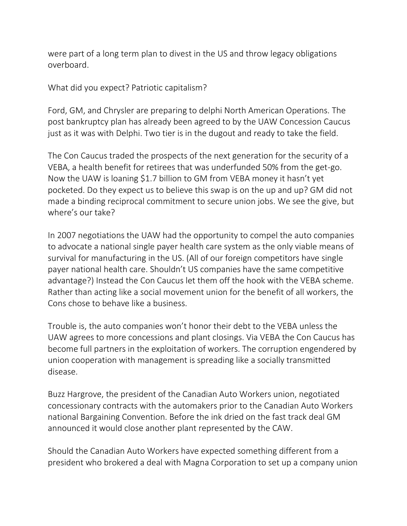were part of a long term plan to divest in the US and throw legacy obligations overboard.

What did you expect? Patriotic capitalism?

Ford, GM, and Chrysler are preparing to delphi North American Operations. The post bankruptcy plan has already been agreed to by the UAW Concession Caucus just as it was with Delphi. Two tier is in the dugout and ready to take the field.

The Con Caucus traded the prospects of the next generation for the security of a VEBA, a health benefit for retirees that was underfunded 50% from the get-go. Now the UAW is loaning \$1.7 billion to GM from VEBA money it hasn't yet pocketed. Do they expect us to believe this swap is on the up and up? GM did not made a binding reciprocal commitment to secure union jobs. We see the give, but where's our take?

In 2007 negotiations the UAW had the opportunity to compel the auto companies to advocate a national single payer health care system as the only viable means of survival for manufacturing in the US. (All of our foreign competitors have single payer national health care. Shouldn't US companies have the same competitive advantage?) Instead the Con Caucus let them off the hook with the VEBA scheme. Rather than acting like a social movement union for the benefit of all workers, the Cons chose to behave like a business.

Trouble is, the auto companies won't honor their debt to the VEBA unless the UAW agrees to more concessions and plant closings. Via VEBA the Con Caucus has become full partners in the exploitation of workers. The corruption engendered by union cooperation with management is spreading like a socially transmitted disease.

Buzz Hargrove, the president of the Canadian Auto Workers union, negotiated concessionary contracts with the automakers prior to the Canadian Auto Workers national Bargaining Convention. Before the ink dried on the fast track deal GM announced it would close another plant represented by the CAW.

Should the Canadian Auto Workers have expected something different from a president who brokered a deal with Magna Corporation to set up a company union